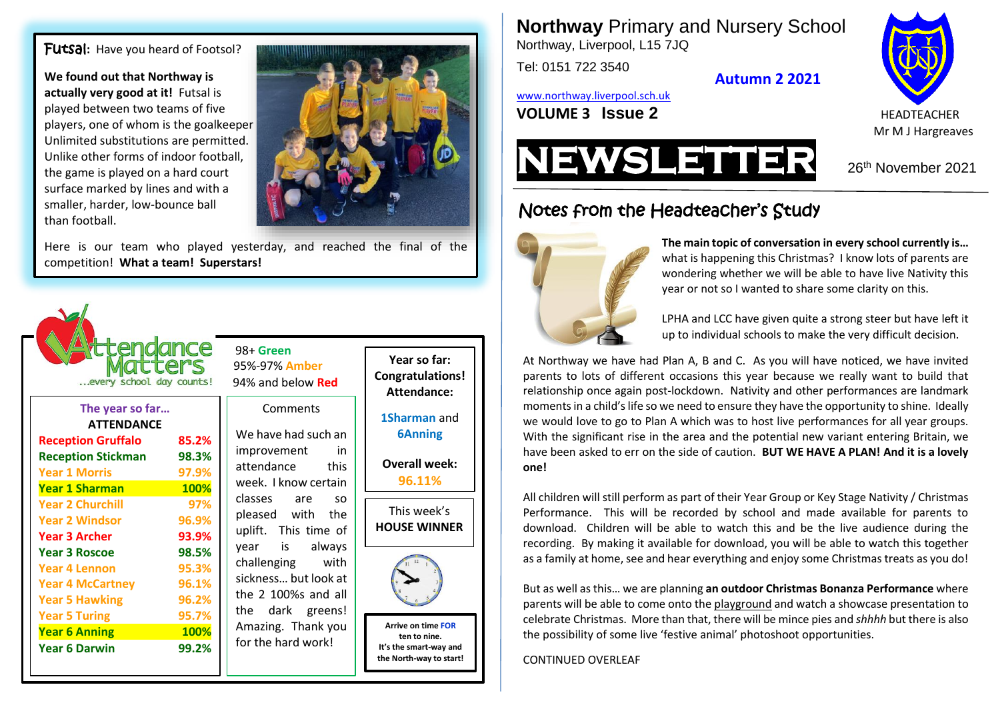Futsal**:** Have you heard of Footsol?

**We found out that Northway is actually very good at it!** Futsal is played between two teams of five players, one of whom is the goalkeeper Unlimited substitutions are permitted. Unlike other forms of indoor football, the game is played on a hard court surface marked by lines and with a smaller, harder, low-bounce ball than football.



Here is our team who played yesterday, and reached the final of the competition! **What a team! Superstars!**



| <b>ATTENDANCE</b>         |       |
|---------------------------|-------|
|                           |       |
| <b>Reception Gruffalo</b> | 85.2% |
| <b>Reception Stickman</b> | 98.3% |
| <b>Year 1 Morris</b>      | 97.9% |
| <b>Year 1 Sharman</b>     | 100%  |
| <b>Year 2 Churchill</b>   | 97%   |
| <b>Year 2 Windsor</b>     | 96.9% |
| <b>Year 3 Archer</b>      | 93.9% |
| <b>Year 3 Roscoe</b>      | 98.5% |
| <b>Year 4 Lennon</b>      | 95.3% |
| <b>Year 4 McCartney</b>   | 96.1% |
| <b>Year 5 Hawking</b>     | 96.2% |
| <b>Year 5 Turing</b>      | 95.7% |
| <b>Year 6 Anning</b>      | 100%  |
| <b>Year 6 Darwin</b>      | 99.2% |

 98+ **Green** 95%-97% **Amber**

#### **Comments**

We have had such an improvement in attendance this week. I know certain classes are so pleased with the uplift. This time of year is always challenging with sickness… but look at the 2 100%s and all the dark greens! Amazing. Thank you for the hard work!

**Year so far: Congratulations! Attendance:**

**1Sharman** and **6Anning**

**Overall week: 96.11%**





**Arrive on time FOR ten to nine. It's the smart-way and the North-way to start!** **Northway** Primary and Nursery School Northway, Liverpool, L15 7JQ

Tel: 0151 722 3540

**Autumn 2 2021**

[www.northway.liverpool.sch.uk](http://www.northway.liverpool.sch.uk/)

**VOLUME 3 ISSUE 2** HEADTEACHER





26<sup>th</sup> November 2021

Notes from the Headteacher's Study



**The main topic of conversation in every school currently is…** what is happening this Christmas? I know lots of parents are wondering whether we will be able to have live Nativity this year or not so I wanted to share some clarity on this.

LPHA and LCC have given quite a strong steer but have left it up to individual schools to make the very difficult decision.

At Northway we have had Plan A, B and C. As you will have noticed, we have invited parents to lots of different occasions this year because we really want to build that relationship once again post-lockdown. Nativity and other performances are landmark moments in a child'slife so we need to ensure they have the opportunity to shine. Ideally we would love to go to Plan A which was to host live performances for all year groups. With the significant rise in the area and the potential new variant entering Britain, we have been asked to err on the side of caution. **BUT WE HAVE A PLAN! And it is a lovely one!**

All children will still perform as part of their Year Group or Key Stage Nativity / Christmas Performance. This will be recorded by school and made available for parents to download. Children will be able to watch this and be the live audience during the recording. By making it available for download, you will be able to watch this together as a family at home, see and hear everything and enjoy some Christmas treats as you do!

But as well as this… we are planning **an outdoor Christmas Bonanza Performance** where parents will be able to come onto the playground and watch a showcase presentation to celebrate Christmas. More than that, there will be mince pies and *shhhh* but there is also the possibility of some live 'festive animal' photoshoot opportunities.

CONTINUED OVERLEAF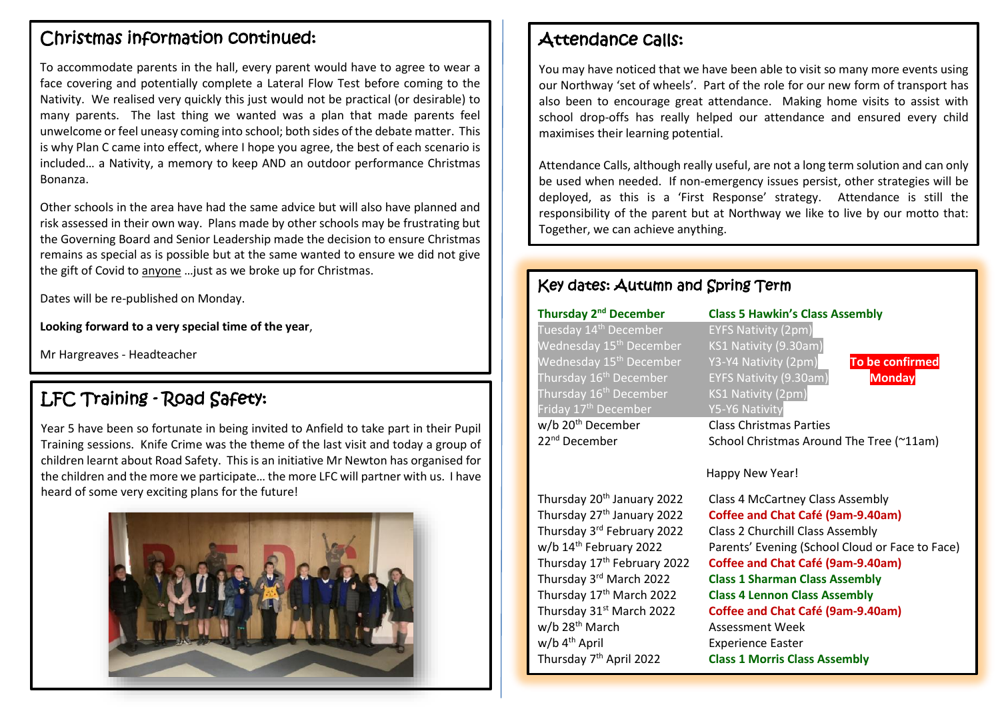## Christmas information continued:

To accommodate parents in the hall, every parent would have to agree to wear a face covering and potentially complete a Lateral Flow Test before coming to the Nativity. We realised very quickly this just would not be practical (or desirable) to many parents. The last thing we wanted was a plan that made parents feel unwelcome or feel uneasy coming into school; both sides of the debate matter. This is why Plan C came into effect, where I hope you agree, the best of each scenario is included… a Nativity, a memory to keep AND an outdoor performance Christmas Bonanza.

Other schools in the area have had the same advice but will also have planned and risk assessed in their own way. Plans made by other schools may be frustrating but the Governing Board and Senior Leadership made the decision to ensure Christmas remains as special as is possible but at the same wanted to ensure we did not give the gift of Covid to anyone …just as we broke up for Christmas.

Dates will be re-published on Monday.

**Looking forward to a very special time of the year**,

Mr Hargreaves - Headteacher

# LFC Training - Road Safety:

Year 5 have been so fortunate in being invited to Anfield to take part in their Pupil Training sessions. Knife Crime was the theme of the last visit and today a group of children learnt about Road Safety. This is an initiative Mr Newton has organised for the children and the more we participate… the more LFC will partner with us. I have heard of some very exciting plans for the future!



### Attendance calls:

You may have noticed that we have been able to visit so many more events using our Northway 'set of wheels'. Part of the role for our new form of transport has also been to encourage great attendance. Making home visits to assist with school drop-offs has really helped our attendance and ensured every child maximises their learning potential.

Attendance Calls, although really useful, are not a long term solution and can only be used when needed. If non-emergency issues persist, other strategies will be deployed, as this is a 'First Response' strategy. Attendance is still the responsibility of the parent but at Northway we like to live by our motto that: Together, we can achieve anything.

### Key dates: Autumn and Spring Term

#### **Thursday 2**

Tuesday 14<sup>th</sup> December **EYFS Nativity (2pm)** Wednesday 15<sup>th</sup> December KS1 Nativity (9.30am) Wednesday 15th December Y3-Y4 Nativity (2pm) **To be confirmed** Thursday 16th December EYFS Nativity (9.30am) **Monday** Thursday 16<sup>th</sup> December KS1 Nativity (2pm) Friday 17<sup>th</sup> December Y5-Y6 Nativity

**nd December Class 5 Hawkin's Class Assembly**

w/b 20<sup>th</sup> December Class Christmas Parties<br>22<sup>nd</sup> December School Christmas Arour School Christmas Around The Tree (~11am)

#### Happy New Year!

Thursday 20th January 2022 Class 4 McCartney Class Assembly Thursday 27th January 2022 **Coffee and Chat Café (9am-9.40am)** Thursday 3rd February 2022 Thursday 3rd March 2022 w/b 28<sup>th</sup> March Assessment Week w/b 4<sup>th</sup> April **Experience Easter** Thursday 7<sup>th</sup> April 2022

Class 2 Churchill Class Assembly w/b 14<sup>th</sup> February 2022 Parents' Evening (School Cloud or Face to Face) Thursday 17th February 2022 **Coffee and Chat Café (9am-9.40am) Class 1 Sharman Class Assembly** Thursday 17th March 2022 **Class 4 Lennon Class Assembly** Thursday 31st March 2022 **Coffee and Chat Café (9am-9.40am) Class 1 Morris Class Assembly**